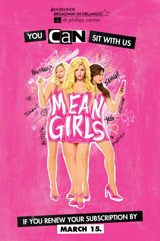**AFAIRWINDS BROADWAY IN ORLANDO** or phillips center

# YOU CAN SIT WITH US

SAVALLE

**Designal** 

YOU MAD?

81111115

 $\overline{\alpha}$ 

 $\infty$ 

Small

IF YOU RENEW YOUR SUBSCRIPTION BY **MARCH 15.**